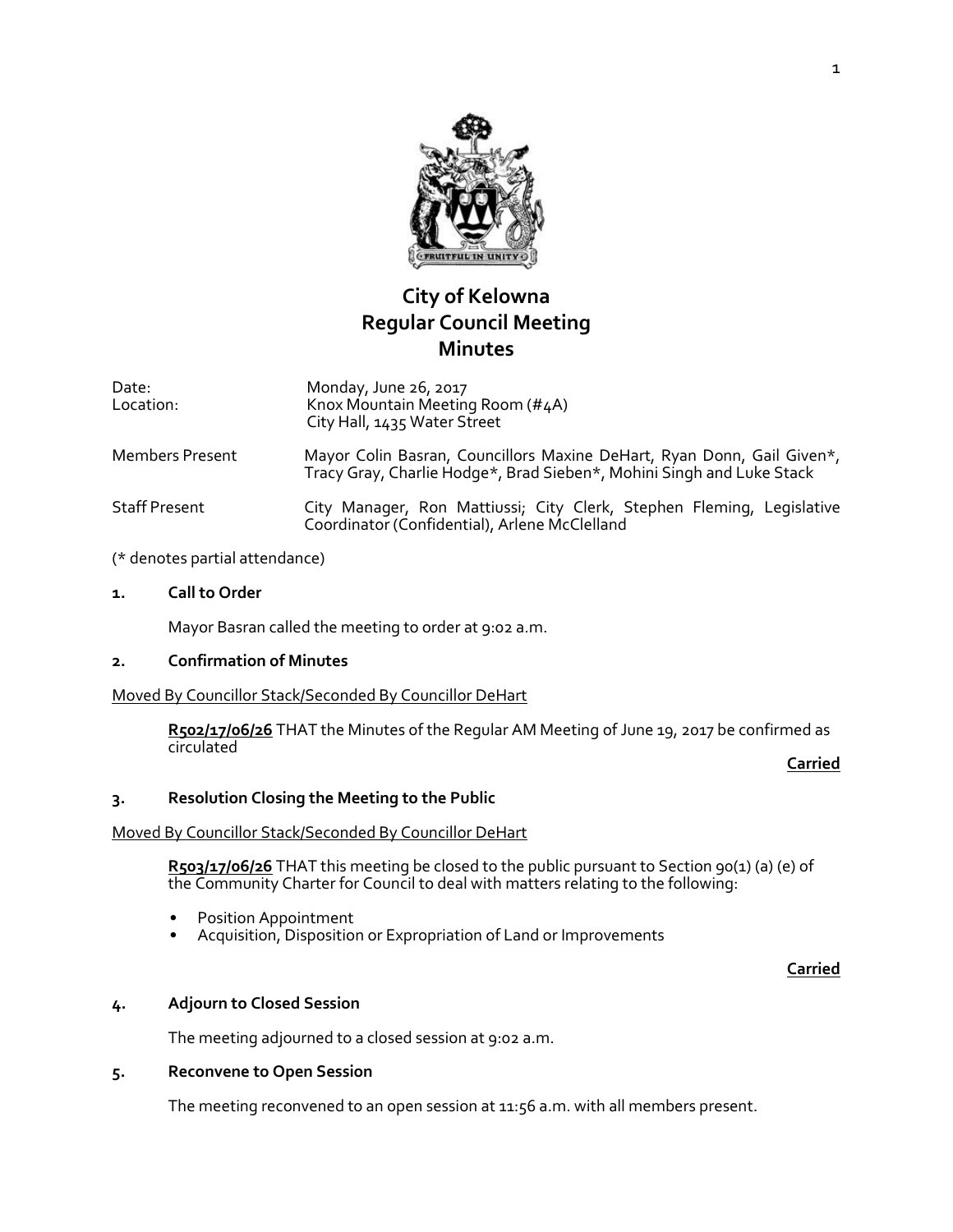

# **City of Kelowna Regular Council Meeting Minutes**

Date: Location: Monday, June 26, 2017 Knox Mountain Meeting Room (#4A) City Hall, 1435 Water Street

- Members Present Mayor Colin Basran, Councillors Maxine DeHart, Ryan Donn, Gail Given\*, Tracy Gray, Charlie Hodge\*, Brad Sieben\*, Mohini Singh and Luke Stack
- Staff Present **City Manager, Ron Mattiussi; City Clerk, Stephen Fleming, Legislative** Coordinator (Confidential), Arlene McClelland

### (\* denotes partial attendance)

### **1. Call to Order**

Mayor Basran called the meeting to order at 9:02 a.m.

### **2. Confirmation of Minutes**

Moved By Councillor Stack/Seconded By Councillor DeHart

**R502/17/06/26** THAT the Minutes of the Regular AM Meeting of June 19, 2017 be confirmed as circulated

**Carried**

### **3. Resolution Closing the Meeting to the Public**

### Moved By Councillor Stack/Seconded By Councillor DeHart

R503/17/06/26 THAT this meeting be closed to the public pursuant to Section 90(1) (a) (e) of the Community Charter for Council to deal with matters relating to the following:

- Position Appointment
- Acquisition, Disposition or Expropriation of Land or Improvements

**Carried**

### **4. Adjourn to Closed Session**

The meeting adjourned to a closed session at 9:02 a.m.

### **5. Reconvene to Open Session**

The meeting reconvened to an open session at 11:56 a.m. with all members present.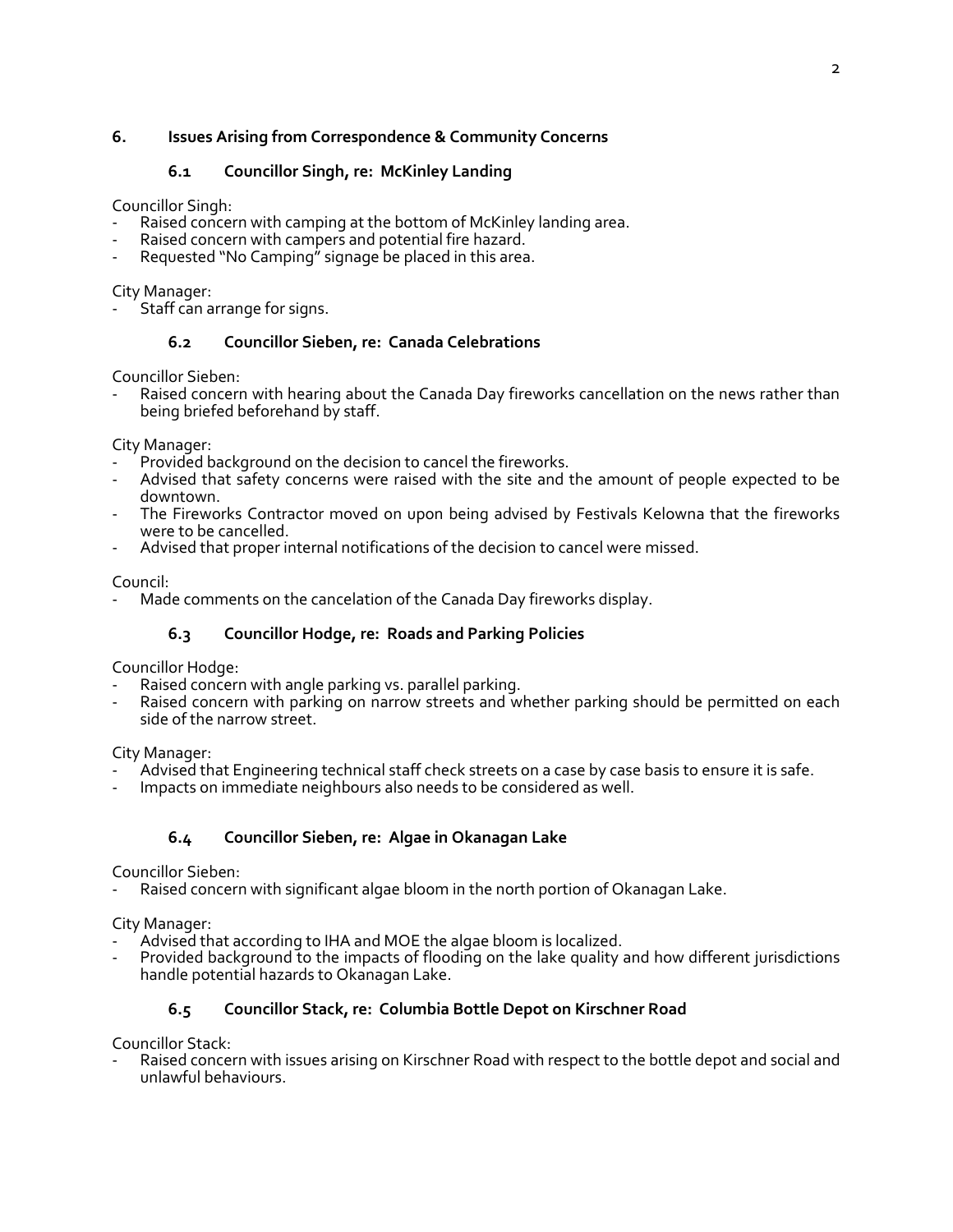# **6. Issues Arising from Correspondence & Community Concerns**

# **6.1 Councillor Singh, re: McKinley Landing**

Councillor Singh:

- Raised concern with camping at the bottom of McKinley landing area.
- Raised concern with campers and potential fire hazard.
- Requested "No Camping" signage be placed in this area.

City Manager:

Staff can arrange for signs.

### **6.2 Councillor Sieben, re: Canada Celebrations**

Councillor Sieben:

Raised concern with hearing about the Canada Day fireworks cancellation on the news rather than being briefed beforehand by staff.

City Manager:

- Provided background on the decision to cancel the fireworks.
- Advised that safety concerns were raised with the site and the amount of people expected to be downtown.
- The Fireworks Contractor moved on upon being advised by Festivals Kelowna that the fireworks were to be cancelled.
- Advised that proper internal notifications of the decision to cancel were missed.

### Council:

Made comments on the cancelation of the Canada Day fireworks display.

# **6.3 Councillor Hodge, re: Roads and Parking Policies**

Councillor Hodge:

- Raised concern with angle parking vs. parallel parking.
- Raised concern with parking on narrow streets and whether parking should be permitted on each side of the narrow street.

City Manager:

- Advised that Engineering technical staff check streets on a case by case basis to ensure it is safe.
- Impacts on immediate neighbours also needs to be considered as well.

### **6.4 Councillor Sieben, re: Algae in Okanagan Lake**

Councillor Sieben:

Raised concern with significant algae bloom in the north portion of Okanagan Lake.

City Manager:

- Advised that according to IHA and MOE the algae bloom is localized.
- Provided background to the impacts of flooding on the lake quality and how different jurisdictions handle potential hazards to Okanagan Lake.

### **6.5 Councillor Stack, re: Columbia Bottle Depot on Kirschner Road**

Councillor Stack:

Raised concern with issues arising on Kirschner Road with respect to the bottle depot and social and unlawful behaviours.